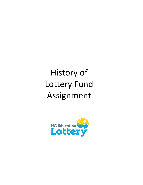## History of Lottery Fund Assignment

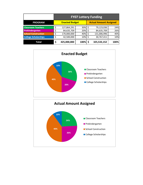|                             | <b>FY07 Lottery Funding</b> |             |           |  |                               |      |  |
|-----------------------------|-----------------------------|-------------|-----------|--|-------------------------------|------|--|
| <b>PROGRAM</b>              | <b>Enacted Budget</b>       |             |           |  | <b>Actual Amount Assigned</b> |      |  |
| <b>Classroom Teachers</b>   |                             | 127,864,291 | 30% \$    |  | 79,123,036                    | 24%  |  |
| <b>Prekindergarten</b>      |                             | 84,635,709  | 20% \$    |  | 84,635,709                    | 26%  |  |
| <b>School Construction</b>  |                             | 170,000,000 | $40\%$ \$ |  | 131,006,996                   | 40%  |  |
| <b>College Scholarships</b> | \$                          | 42,500,000  | $10\%$ \$ |  | 30,767,411                    | 10%  |  |
| Total                       |                             | 425,000,000 | 100%      |  | 325,533,152                   | 100% |  |



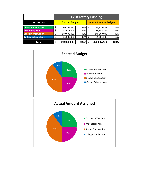|                             | <b>FY08 Lottery Funding</b> |             |           |  |                               |      |  |
|-----------------------------|-----------------------------|-------------|-----------|--|-------------------------------|------|--|
| <b>PROGRAM</b>              | <b>Enacted Budget</b>       |             |           |  | <b>Actual Amount Assigned</b> |      |  |
| <b>Classroom Teachers</b>   |                             | 90,364,291  | $26\%$ \$ |  | 90,370,483                    | 26%  |  |
| <b>Prekindergarten</b>      |                             | 84,635,709  | $24\%$ \$ |  | 84,635,709                    | 24%  |  |
| <b>School Construction</b>  |                             | 140,000,000 | $40\%$ \$ |  | 140,000,000                   | 40%  |  |
| <b>College Scholarships</b> | \$                          | 35,000,000  | $10\%$ \$ |  | 35,001,238                    | 10%  |  |
| Total                       |                             | 350,000,000 | 100%      |  | 350,007,430                   | 100% |  |



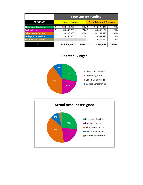|                             | <b>FY09 Lottery Funding</b> |             |        |    |                               |      |  |
|-----------------------------|-----------------------------|-------------|--------|----|-------------------------------|------|--|
| <b>PROGRAM</b>              | <b>Enacted Budget</b>       |             |        |    | <b>Actual Amount Assigned</b> |      |  |
| <b>Classroom Teachers</b>   | Ś                           | 108,114,291 | 28% \$ |    | 110,176,846                   | 27%  |  |
| <b>Prekindergarten</b>      | \$                          | 84,635,709  | 22%    | \$ | 84,448,134                    | 21%  |  |
| <b>School Construction</b>  | \$                          | 154,200,000 | 40%    | \$ | 162,262,428                   | 39%  |  |
| <b>College Scholarships</b> | \$                          | 38,550,000  | 10%    | -S | 38,962,511                    | 9%   |  |
| <b>Reserve Restoration</b>  |                             |             |        | \$ | 16,576,050                    | 4%   |  |
| Total                       |                             | 385,500,000 | 100%   |    | 412,425,969                   | 100% |  |



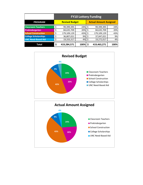|                             | <b>FY10 Lottery Funding</b> |                       |          |                               |             |      |  |  |
|-----------------------------|-----------------------------|-----------------------|----------|-------------------------------|-------------|------|--|--|
| <b>PROGRAM</b>              |                             | <b>Revised Budget</b> |          | <b>Actual Amount Assigned</b> |             |      |  |  |
| <b>Classroom Teachers</b>   | \$                          | 99,399,395            | 24% \$   |                               | 99,399,395  | 24%  |  |  |
| <b>Prekindergarten</b>      | \$                          | 84,635,709            | 20% \$   |                               | 84,635,709  | 20%  |  |  |
| <b>School Construction</b>  | Ś                           | 179,109,129           | 43% \$   |                               | 179,109,129 | 43%  |  |  |
| <b>College Scholarships</b> | \$                          | 36,807,021            | 9%       | ∣\$                           | 37,047,021  | 9%   |  |  |
| <b>UNC Need-Based Aid</b>   | \$                          | 19,333,317            | $4\%$ \$ |                               | 19,272,017  | 4%   |  |  |
| <b>Total</b>                |                             | 419,284,571           | 100%     |                               | 419,463,271 | 100% |  |  |



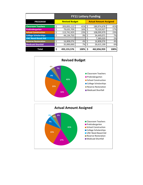|                             | <b>FY11 Lottery Funding</b> |           |    |                               |      |  |  |
|-----------------------------|-----------------------------|-----------|----|-------------------------------|------|--|--|
| <b>PROGRAM</b>              | <b>Revised Budget</b>       |           |    | <b>Actual Amount Assigned</b> |      |  |  |
| <b>Classroom Teachers</b>   | \$<br>203,835,112           | $41\%$ \$ |    | 189,974,678                   | 41%  |  |  |
| Prekindergarten             | \$<br>79,635,709            | 16% \$    |    | 79,520,927                    | 17%  |  |  |
| <b>School Construction</b>  | \$<br>113,741,929           | 23%       | \$ | 108,099,979                   | 23%  |  |  |
| <b>College Scholarships</b> | \$<br>44,134,750            | 9%        | \$ | 34,449,071                    | 7%   |  |  |
| <b>UNC Need-Based Aid</b>   |                             |           | \$ | 7,389,029                     | 2%   |  |  |
| <b>Reserve Restoration</b>  | \$<br>16,808,076            | 4%        | \$ | 16,808,076                    | 4%   |  |  |
| <b>Medicaid Shortfall</b>   | \$<br>35,000,000            | 7%        | \$ | 26,615,199                    | 6%   |  |  |
| <b>Total</b>                | 493,155,576                 | 100%      |    | 462,856,959                   | 100% |  |  |



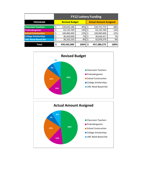|                             | <b>FY12 Lottery Funding</b> |                       |      |                               |             |      |  |
|-----------------------------|-----------------------------|-----------------------|------|-------------------------------|-------------|------|--|
| <b>PROGRAM</b>              |                             | <b>Revised Budget</b> |      | <b>Actual Amount Assigned</b> |             |      |  |
| <b>Classroom Teachers</b>   | \$                          | 220,643,188           | 49%  | \$                            | 220,721,772 | 48%  |  |
| <b>Prekindergarten</b>      | \$                          | 63,135,709            | 14%  | \$.                           | 63,135,709  | 14%  |  |
| <b>School Construction</b>  | \$                          | 100,000,000           | 22%  | \$.                           | 100,000,000 | 22%  |  |
| <b>College Scholarships</b> | \$                          | 30,450,000            | 7%   | \$                            | 30,644,417  | 7%   |  |
| <b>UNC Need-Based Aid</b>   | \$                          | 36,333,103            | 8%   | \$                            | 42,878,374  | 9%   |  |
| <b>Total</b>                |                             | 450,562,000           | 100% |                               | 457,380,272 | 100% |  |



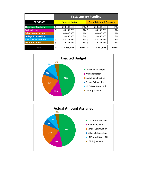|                             | <b>FY13 Lottery Funding</b> |          |     |                               |      |  |  |
|-----------------------------|-----------------------------|----------|-----|-------------------------------|------|--|--|
| <b>PROGRAM</b>              | <b>Revised Budget</b>       |          |     | <b>Actual Amount Assigned</b> |      |  |  |
| <b>Classroom Teachers</b>   | \$<br>220,643,188           | 47% \$   |     | 220,643,188                   | 47%  |  |  |
| Prekindergarten             | \$<br>63,135,709            | 13% \$   |     | 63,135,709                    | 13%  |  |  |
| <b>School Construction</b>  | \$<br>100,000,000           | $21\%$ 5 |     | 100,000,000                   | 21%  |  |  |
| <b>College Scholarships</b> | \$<br>30,450,000            | 6%       | -\$ | 30,450,000                    | 6%   |  |  |
| <b>UNC Need-Based Aid</b>   | \$<br>42,878,374            | 9%       | ∣\$ | 42,878,295                    | 9%   |  |  |
| <b>LEA Adjustment</b>       | \$<br>16,385,771            | 4%       | -S  | 16,385,771                    | 4%   |  |  |
| Total                       | 473,493,042                 | 100%     |     | 473,492,963                   | 100% |  |  |



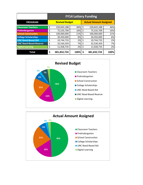|                               | <b>FY14 Lottery Funding</b> |                                                 |        |     |                               |     |  |  |
|-------------------------------|-----------------------------|-------------------------------------------------|--------|-----|-------------------------------|-----|--|--|
| <b>PROGRAM</b>                |                             | <b>Revised Budget</b>                           |        |     | <b>Actual Amount Assigned</b> |     |  |  |
| <b>Classroom Teachers</b>     | \$                          | 220,643,188                                     | 46% \$ |     | 220,643,188                   | 46% |  |  |
| Prekindergarten               | \$                          | 75,535,709                                      | 16%    | \$  | 75,535,709                    | 16% |  |  |
| <b>School Construction</b>    | \$                          | 100,000,000                                     | 21%    | \$  | 100,000,000                   | 21% |  |  |
| <b>College Scholarships</b>   | \$                          | 30,450,000                                      | 6%     | \$, | 30,450,000                    | 6%  |  |  |
| <b>UNC Need-Based Aid</b>     | \$                          | 10,744,733                                      | 2%     | \$  | 10,744,733                    | 2%  |  |  |
| <b>UNC Need-Based Reserve</b> | \$                          | 32,530,359                                      | 7%     | Ŝ.  | 32,530,359                    | 7%  |  |  |
| <b>Digital Learning</b>       | \$                          | 11,928,735                                      | 2%     | \$  | 11,928,735                    | 2%  |  |  |
| Total                         | \$                          | 481,832,724<br>481,832,724<br>100%<br>100%<br>S |        |     |                               |     |  |  |



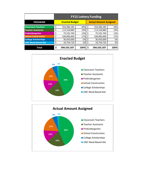|                             | <b>FY15 Lottery Funding</b> |             |           |     |                               |      |  |
|-----------------------------|-----------------------------|-------------|-----------|-----|-------------------------------|------|--|
| <b>PROGRAM</b>              | <b>Enacted Budget</b>       |             |           |     | <b>Actual Amount Assigned</b> |      |  |
| <b>Classroom Teachers</b>   | \$                          | 254,586,185 | $44\%$ \$ |     | 254,586,185                   | 44%  |  |
| <b>Teacher Assistants</b>   | \$                          | 113,318,880 | 19%       | -\$ | 113,318,880                   | 19%  |  |
| Prekindergarten             | \$                          | 75,535,709  | 13%       | -\$ | 75,535,709                    | 13%  |  |
| <b>School Construction</b>  | \$                          | 100,000,000 | 17%       | -\$ | 100,000,000                   | 17%  |  |
| <b>College Scholarships</b> | \$                          | 30,450,000  | $5%$ \$   |     | 30,450,000                    | 5%   |  |
| <b>UNC Need-Based Aid</b>   | \$                          | 10,744,733  | 2%        | -\$ | 10,744,733                    | 2%   |  |
| Total                       |                             | 584,635,507 | 100%      |     | 584,635,507                   | 100% |  |



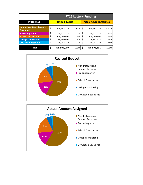|                                                      | <b>FY16 Lottery Funding</b> |                       |        |                               |             |       |  |  |
|------------------------------------------------------|-----------------------------|-----------------------|--------|-------------------------------|-------------|-------|--|--|
| <b>PROGRAM</b>                                       |                             | <b>Revised Budget</b> |        | <b>Actual Amount Assigned</b> |             |       |  |  |
| <b>Non-Instructional Support</b><br><b>Personnel</b> | \$                          | 310,455,157           | 58% \$ |                               | 310,455,157 | 58.7% |  |  |
| Prekindergarten                                      | \$                          | 78,252,110            | 15%    | \$                            | 78,252,110  | 14.8% |  |  |
| <b>School Construction</b>                           | \$                          | 100,000,000           | 19%    | \$                            | 100,000,000 | 18.9% |  |  |
| <b>College Scholarships</b>                          | \$                          | 30,450,000            | 6%     | Ş.                            | 29,543,331  | 5.6%  |  |  |
| <b>UNC Need-Based Aid</b>                            | \$                          | 10,744,733            | 2%     | \$                            | 10,744,733  | 2.0%  |  |  |
| Total                                                |                             | 529,902,000           | 100%   | \$                            | 528,995,331 | 100%  |  |  |



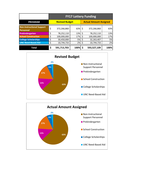|                                                      | <b>FY17 Lottery Funding</b> |                       |        |                               |             |      |  |  |
|------------------------------------------------------|-----------------------------|-----------------------|--------|-------------------------------|-------------|------|--|--|
| <b>PROGRAM</b>                                       |                             | <b>Revised Budget</b> |        | <b>Actual Amount Assigned</b> |             |      |  |  |
| <b>Non-Instructional Support</b><br><b>Personnel</b> | \$                          | 372,266,860           | 63% \$ |                               | 372,266,860 | 63%  |  |  |
| Prekindergarten                                      | \$                          | 78,252,110            | 13%    | $\zeta$                       | 78,252,110  | 13%  |  |  |
| <b>School Construction</b>                           | \$                          | 100,000,000           | 17%    | \$                            | 100,000,000 | 17%  |  |  |
| <b>College Scholarships</b>                          | \$                          | 30,450,000            | 5%     | -\$                           | 32,263,407  | 5%   |  |  |
| <b>UNC Need-Based Aid</b>                            | \$                          | 10,744,733            | 2%     | -\$                           | 10,744,733  | 2%   |  |  |
| Total                                                |                             | 591,713,703           | 100%   | S                             | 593,527,109 | 100% |  |  |



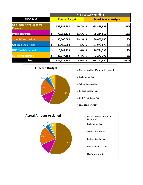|                                                      | <b>FY18 Lottery Funding</b> |             |             |  |                               |      |  |  |
|------------------------------------------------------|-----------------------------|-------------|-------------|--|-------------------------------|------|--|--|
| <b>PROGRAM</b>                                       | <b>Enacted Budget</b>       |             |             |  | <b>Actual Amount Assigned</b> |      |  |  |
| <b>Non-Instructional Support</b><br><b>Personnel</b> | \$                          | 383,888,897 | $56.7%$ \$  |  | 383,888,897                   | 57%  |  |  |
| Prekindergarten                                      | \$                          | 78,252,110  | $11.6\%$ \$ |  | 78,234,852                    | 12%  |  |  |
| <b>School Construction</b>                           | \$                          | 130,000,000 | $19.2%$ \$  |  | 130,000,000                   | 19%  |  |  |
| <b>College Scholarships</b>                          | \$                          | 30,450,000  | $4.5\%$ \$  |  | 27,971,676                    | 4%   |  |  |
| <b>UNC Need-Based Aid</b>                            | \$                          | 10,744,733  | $1.6\%$ \$  |  | 10,744,733                    | 2%   |  |  |
| <b>LEA Transportation</b>                            | \$                          | 43,277,192  | $6.4\%$ \$  |  | 43,277,192                    | 6%   |  |  |
| <b>Total</b>                                         | \$                          | 676,612,932 | $100\%$ \$  |  | 674,117,350                   | 100% |  |  |



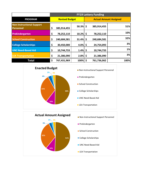|                                                      | <b>FY19 Lottery Funding</b> |             |             |                               |             |      |
|------------------------------------------------------|-----------------------------|-------------|-------------|-------------------------------|-------------|------|
| <b>PROGRAM</b>                                       | <b>Revised Budget</b>       |             |             | <b>Actual Amount Assigned</b> |             |      |
| <b>Non-Instructional Support</b><br><b>Personnel</b> | \$                          | 385,914,455 | $50.3%$ \$  |                               | 385,914,455 | 51%  |
| Prekindergarten                                      | \$                          | 78,252,110  | $10.2%$ \$  |                               | 78,252,110  | 10%  |
| <b>School Construction</b>                           | \$                          | 240,684,581 | $31.4\%$ \$ |                               | 240,684,581 | 32%  |
| <b>College Scholarships</b>                          | \$                          | 30,450,000  | $4.0\%$ \$  |                               | 24,754,093  | 3%   |
| <b>UNC Need-Based Aid</b>                            | \$                          | 10,744,733  | $1.4\%$ \$  |                               | 10,744,733  | 1%   |
| <b>LEA Transportation</b>                            | \$                          | 21,386,090  | $2.8\%$ \$  |                               | 21,386,090  | 3%   |
| <b>Total</b>                                         | \$                          | 767,431,969 | $100\%$ \$  |                               | 761,736,062 | 100% |



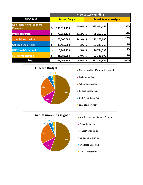|                                                      | <b>FY20 Lottery Funding</b> |             |             |                               |             |      |
|------------------------------------------------------|-----------------------------|-------------|-------------|-------------------------------|-------------|------|
| <b>PROGRAM</b>                                       | <b>Revised Budget</b>       |             |             | <b>Actual Amount Assigned</b> |             |      |
| <b>Non-Instructional Support</b><br><b>Personnel</b> | \$                          | 385,914,455 | $55.0\%$ \$ |                               | 385,914,455 | 56%  |
| Prekindergarten                                      | \$                          | 78,252,110  | $11.2\%$ \$ |                               | 78,252,110  | 11%  |
| <b>School Construction</b>                           | \$                          | 175,000,000 | $24.9%$ \$  |                               | 173,200,000 | 25%  |
| <b>College Scholarships</b>                          | \$                          | 30,450,000  | $4.3\%$ \$  |                               | 23,343,258  | 3%   |
| <b>UNC Need-Based Aid</b>                            | \$                          | 10,744,733  | $1.5\%$ \$  |                               | 10,744,733  | 2%   |
| <b>LEA Transportation</b>                            | \$                          | 21,386,090  | $3.0\%$ \$  |                               | 21,386,090  | 3%   |
| <b>Total</b>                                         | \$                          | 701,747,388 | $100\%$ \$  |                               | 692,840,646 | 100% |



**56%**

**11%**

**25%**

**3%**



- School Construction
- **College Scholarships**
- **UNC Need-Based Aid**
- **LEA Transportation**